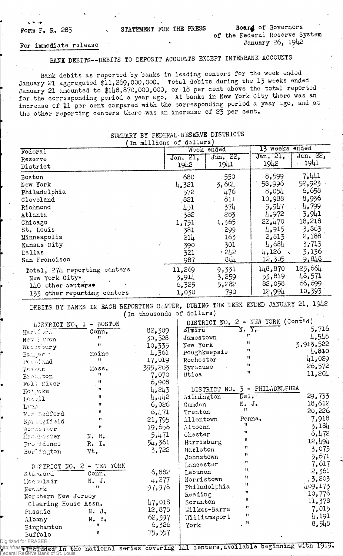Form F. R. 285 STATEMENT FOR THE PRESS Board of Governors of the Federal Reserve System January 26,  $19\downarrow2$ 

## For immediate release

## BANK DEBITS— DEBITS TO DEPOSIT ACCOUNTS EXCEPT INTERBANK ACCOUNTS

Bank debits as reported by banks in leading centers for the week ended January 21 aggregated \$11,269,000,000. Total debits during the 13 weeks ended January 21 amounted to \$148,870,000,000, or 18 per cent above the total reported for the corresponding period a year ago, At banks in New York City there was an increase of 11 per cent compared with the corresponding period a year ago, and at the other reporting centers there was an increase of 23 per cent.

| ----------<br>(In millions of dollars) |                  |                                        |                             |                |  |  |
|----------------------------------------|------------------|----------------------------------------|-----------------------------|----------------|--|--|
| Federal                                | Week ended       |                                        | 13 weeks ended              |                |  |  |
| Reserve                                | Jan. 21,         | $\overline{\text{J}^{\text{an}}$ , 22, | Jan. 21,                    | Jan. 22,       |  |  |
| District                               | 1942             | 1941                                   | 1942                        | 1941           |  |  |
| Boston                                 | 680              | 550                                    | 8,599                       | 7.441          |  |  |
| New York                               | 4,321            | 3,604                                  | 58,996                      | 52,923         |  |  |
| Philadelphia                           | 572              | 476                                    | 8,054                       | 6,658          |  |  |
| Cleveland                              | 821              | 811                                    | 10,988                      | 8,936          |  |  |
| Richmond                               | 451              | 374                                    | 5,947                       | 4,799          |  |  |
| Atlanta                                | 382              | 283                                    | 4,972                       | 3,941          |  |  |
| Chicago                                | 1,751            | 1,365                                  | 22,470                      | 18,218         |  |  |
| St. Louis                              | 381              | 299                                    | 4,915                       | 3,863          |  |  |
| Minneapolis                            | $51\overline{7}$ | 163                                    | 2,813                       | 2,188          |  |  |
| Kansas City<br>Dallas                  | 390<br>321       | 301<br>.242                            | 4,684<br>4,126<br>$\lambda$ | 3,713<br>3,136 |  |  |
| San Francisco                          | 987              | 864                                    | 12,305                      | <u>9.848</u>   |  |  |
| Total, 274 reporting centers           | 11,269           | 9,331                                  | 148,870                     | 125.664        |  |  |
| New York City*                         | 3,914            | 3,259                                  | 53,819                      | 48,571         |  |  |
| 140 other conters*                     | 6,325            | 5,282                                  | 82,058                      | 66,699         |  |  |
| 133 other reporting centers            | 1,030            | 790                                    | 12,994                      | 10,393         |  |  |

## SUMMARY BY FEDERAL'RESERVE DISTRICTS

DEBITS BY BANKS IN EACH REPORTING CENTER, DURING THE WEEK ENDED JANUARY 21, 1942

| DISTRICT NO. 1                      | - BOSTON                    |         | DISTRICT NO. 2 - NEW YORK (Cont'd) |                             |           |
|-------------------------------------|-----------------------------|---------|------------------------------------|-----------------------------|-----------|
| Haril <i>wi</i>                     | Conn,                       | 82,309  | slmira                             | $N. \ \overline{Y.}$<br>Ħ   | 5,716     |
| New invon                           | 11                          | 30,528  | Jamestown                          | Ħ                           | 4,548     |
| We conbury                          | $\mathbf{H}$                | 10,335  | New York                           |                             | 3,913,522 |
| Bar, or                             | Maine                       | 4,361   | Poughkeepsie                       | Ħ                           | 4,810     |
| Posts land                          | $^{\dagger}$                | 17,019  | Rochester                          | Ħ                           | 41,029    |
| Bosson.                             | Mass.                       | 395,263 | Syracuse                           | 11                          | 26,572    |
| Broc.ton                            | Ħ                           | 7,070   | Utica                              | 11                          | 11,201    |
| Fall Piver                          | Ħ                           | 6,908   |                                    |                             |           |
| Holycke                             | 11                          | 4,243   | DISTRICT NO.                       | 3 - PHILADELPHIA            |           |
| Losell                              | $^{\dagger}$                | 4,442   | Wilmington                         | $\overline{\texttt{D}}$ el. | 29,733    |
| $L\backslash \mathbb{C} \mathbb{Z}$ | $^{\dagger}$                | 6,026   | Camdon                             | $N - J$ .                   | 18,612    |
| Now Bedford                         | $^{\dagger}$                | 6,471   | Trenton                            | $\mathbf{H}$                | 20,226    |
| Springfield                         | $\mathbf{H}$                | 21,795  | Allentown                          | Penna.                      | 7,918     |
| Wombestier                          | 11                          | 19,656  | Altoona                            | Ħ                           | 3,184     |
| Hachester                           | N. H.                       | 5,471   | Chester                            | 11                          | 6,472     |
| Providence                          | R. I.                       | 54,361  | Harrisburg                         | Ħ                           | 12,494    |
| Burldagton                          | Vt.                         | 3,722   | Hazleton                           | $\pmb{\mathfrak{m}}$        | 3,075     |
|                                     |                             |         | Johnstown                          | 11                          | 5,671     |
| DESTRICT NO. 2 - NEW YORK           |                             |         | Lancaster                          | Ħ                           | 7,617     |
| Stanford                            | Conn.                       | 6,882   | Lebanon                            | $\mathbf{H}_1$              | 2,361     |
| Monsolair                           | N. J.                       | 4,277   | Norristown                         | Ħ                           | , 3, 203  |
| Newark                              | 11                          | 97,978  | Philadelphia                       | Ħ                           | 409,173   |
| Northern New Jersey                 |                             | Reading | 11                                 | 10,776                      |           |
| Clearing House Assn.                |                             | 47,018  | Scranton                           | 11                          | 11,378    |
| Passaic                             | N. J.                       | 12,878  | Milkes-Barre                       | $\mathbf{H}_{\perp}$        | 7,015     |
| Albany                              | $N_{\bullet}$ $Y_{\bullet}$ | 62,397  | Williamsport                       | $^{\dagger}$                | 4,191     |
| Binghamton                          | n                           | 6,326   | York                               | 11                          | 8,548     |
| Buffalo                             | Ħ                           | 75,557  |                                    |                             |           |
| d for FRASER                        |                             |         |                                    |                             |           |

Digitized for FRASER<br>http://fraser<del>-rheiddelb</del>/in the national series covering 141 centers,available beginning with 1919. http://fraser.<del>stippisfed.org/</del> Federal Reserve Bank of St. Louis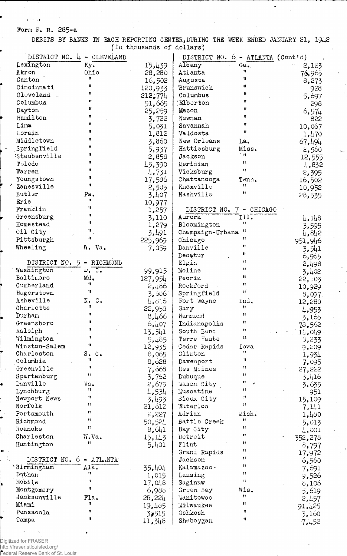Form F. R. 285-&

 $\sqrt{2}$ 

DEBITS BY BANKS IN EACH REPORTING CENTER, DURING THE WEEK ENDED JANUARY 21, 1942 (In thousands of dollars')

| DISTRICT NO. 4            | - CLEVELAND              | (in chousands of dollars) | DISTRICT NO. 6 - ATLANTA (Cont'd) |                              |                |
|---------------------------|--------------------------|---------------------------|-----------------------------------|------------------------------|----------------|
| Lexington                 | Ky.                      | 15,439                    | Albany                            | $Ga$ .                       | 2,123          |
| Akron                     | Ohio                     | 28,280                    | Atlanta                           | 11                           | 76,965         |
| Canton                    | Ħ                        | 16,502                    | Augusta                           | 11                           | 8,273          |
| Cincinnati                | 11                       | 120,933                   | Brunswick                         | Ħ                            | 928            |
| Cleveland                 | Ħ                        | 212,774                   | Columbus                          | 11                           | 5,697          |
| Columbus                  | 11                       | 51,665                    | Elberton                          | $^{\bullet}$                 | 298            |
| Dayton                    | 11                       | 25,259                    | Macon                             | Ħ                            | 6,574          |
| Hamilton                  | Ħ                        | 3,722                     | Newnan                            | Ħ                            | 822            |
| Lima                      | Ħ                        | 5,031                     | Savannah                          | 11                           | 10,067         |
| Lorain                    | Ħ                        | 1,812                     | Valdosta                          | $\pmb{\mathcal{H}}$          | 1,470          |
| Middletown                | 11                       | 3,860                     | New Orleans                       | La.                          | 67,494         |
| Springfield               | Ħ                        | 5,937                     | Hattiesburg                       | Miss.                        | 2,560          |
| :Steubenville             | 11                       | 2,858                     | Jackson                           | $^{\bullet}$                 | 12,555         |
| Toledo                    | 11                       | 45,390                    | Meridian                          | $^{\bullet}$                 | 4,832          |
| Warren                    | 11<br>11                 | 4,731                     | Vicksburg                         | Ħ                            | 2,395          |
| Youngstown                | Ħ                        | 17,586                    | Chattanooga                       | Tenn.<br>Ħ                   | 16,502         |
| Zanesville                |                          | 2,505                     | Knoxville                         | 11                           | 10,952         |
| Butler<br>Erie            | Pa.<br>n                 | 3,407                     | Nashville                         |                              | 28,535         |
| Franklin                  | 11                       | 10,977                    |                                   |                              |                |
| Greensburg                | Ħ                        | 1,257                     | DISTRICT NO.<br>Aurora            | 7 - CHICAGO<br>I11.          |                |
| Homestead                 | 11                       | 3,110                     | Bloomington                       | Ħ                            | 4,148          |
| Oil City                  | $\pmb{\mathfrak{m}}$     | 1,279                     | Champaign-Urbana                  | $^{\prime\prime}$            | 3,595          |
| Pittsburgh                | 11                       | 3,491<br>225,969          | Chicago                           | $\mathbf{H}$                 | 4,842          |
| Wheeling                  | W. Va.                   |                           | Danville                          | 11                           | 951,946        |
|                           |                          | 7,059                     | Decatur                           | $^{\dagger}$                 | 3,541          |
| DISTRICT NO. 5 - RICHMOND |                          |                           | Elgin                             | $\mathbf{u}$                 | 6,965<br>2,498 |
| Washington                | $\nu$ . $\overline{c}$ . | 99,915                    | Moline                            | Ħ                            | 3,402          |
| Baltimore                 | Md.                      | 127,954                   | Peoria                            | 11                           | 22,103         |
| Cumberland                | Ħ                        | 2,486                     | Rockford                          | 11                           | 10,929         |
| Hugerstown                | Ħ                        | 3,606                     | Springfield                       | 11                           | 8,097          |
| Asheville                 | N. C.                    | 4,816                     | Fort Wayne                        | Ind.                         | 12,280         |
| Charlotte                 | 11                       | 22,958                    | Gary                              | $\mathbf{H}$                 | 4,953          |
| Durham                    | Ħ                        | 8,166                     | Hammond                           | Ħ                            | 3,165          |
| Greensboro                | Ħ                        | 6,407                     | Indianapolis                      | Ħ                            | 78,562         |
| Raleigh                   |                          | 13,541                    | South Bend                        | 11                           | 11,019         |
| Wilmington                | n                        | 5,485                     | Terre Haute                       | $^{\circ}$ H.                | 8,233          |
| Winston-Salem             | 11                       | 12,935                    | Cedar Rapids                      | Iowa                         | 9,209          |
| Charleston                | S. C.<br>11              | 8,065                     | Clinton                           | $\mathbf{H}$<br>$\mathbf{H}$ | 1,934          |
| Columbia                  | n                        | 8,628                     | Davenport                         | 11                           | 7,095          |
| Greenville                | Ħ                        | 7,668                     | Des Moines                        | Ħ                            | 27,222         |
| Spartanburg<br>Danville   | Va.                      | 3,762                     | Dubuque                           | Ħ                            | 3,416          |
| Lynchburg                 | Ħ                        | 2,675                     | Mason City<br>Muscatine           | Ħ                            | 3,635          |
| Newport News              | Ħ                        | 4,534<br>3,493            | Sioux City                        | Ħ                            | 951<br>15,109  |
| Norfolk                   | 11                       | 21,612                    | Waterloo                          | $^{\dagger}$                 | 7,141          |
| Portsmouth                | Ħ                        | 2,227                     | Adrian                            | Mich.                        | 1,480          |
| Richmond                  | 11                       | 50,524                    | Battle Creek                      | 11                           | 5,013          |
| Roanoke                   | Ħ                        | 8,641                     | Bay City                          | Ħ                            | 4,001          |
| Charleston                | W.Va.                    | 15,113                    | Detroit                           | $^{\dagger}$                 | 352,278        |
| Huntington                | Ħ                        | 5,401                     | Flint                             | Ħ                            | 8,797          |
|                           |                          |                           | Grand Rapids                      | n                            | 17,972         |
| DISTRICT NO. 6 - ATLANTA  |                          |                           | Jackson                           | 11                           | 6,560          |
| Birmingham                | Ala.                     | 35,404                    | Kalamazoo-                        | 11                           | 7,691          |
| Dothan                    | n                        | 1,015                     | Lansing                           | Ħ                            | 9,526          |
| Mobile                    | $\mathbf{H}$             | 17,048                    | Saginaw                           | Ħ                            | 8,106          |
| Montgomery                | Ħ                        | 6,988                     | Green Bay                         | Wis.                         | 5,619          |
| Jacksonville              | Fla.                     | 28,221                    | Manitowoc                         | 11                           | 2,457          |
| Miami                     | n<br>11                  | 19,485                    | Milwaukee                         | Ħ<br>Ħ                       | 91,425         |
| Pensacola                 | 11                       | 3,515                     | Oshkosh                           | $\mathbf{H}$                 | 3,160          |
| Tampa                     |                          | 11,348                    | Sheboygan                         |                              | 7,452          |

Digitized for FRASER

http://fraser.stlouisfed.org/ Federal Reserve Bank of St. Louis